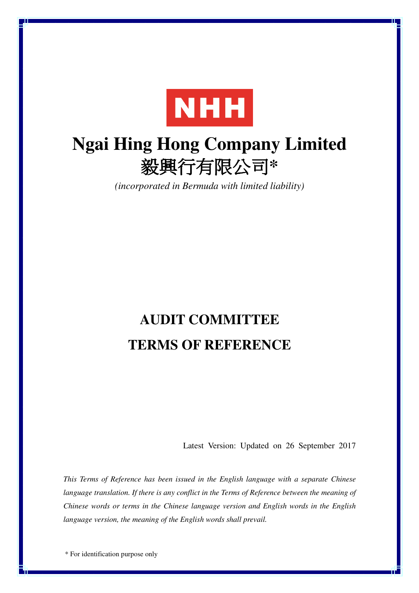

# **Ngai Hing Hong Company Limited**  毅興行有限公司**\***

*(incorporated in Bermuda with limited liability)*

# **AUDIT COMMITTEE TERMS OF REFERENCE**

Latest Version: Updated on 26 September 2017

*This Terms of Reference has been issued in the English language with a separate Chinese*  language translation. If there is any conflict in the Terms of Reference between the meaning of *Chinese words or terms in the Chinese language version and English words in the English language version, the meaning of the English words shall prevail.*

\* For identification purpose only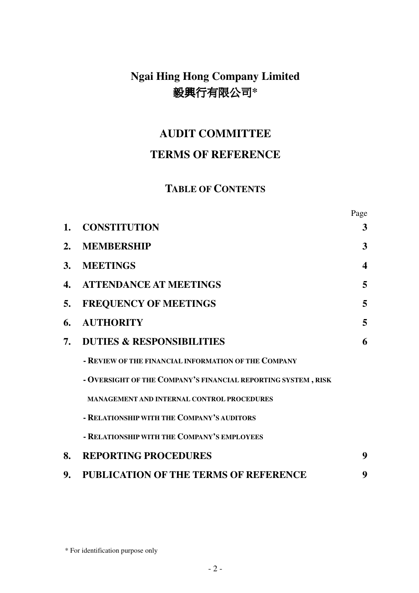# **Ngai Hing Hong Company Limited**  毅興行有限公司**\***

## **AUDIT COMMITTEE**

### **TERMS OF REFERENCE**

### **TABLE OF CONTENTS**

Page

| 1. | <b>CONSTITUTION</b>                                           | $\mathbf{3}$     |
|----|---------------------------------------------------------------|------------------|
| 2. | <b>MEMBERSHIP</b>                                             | 3                |
| 3. | <b>MEETINGS</b>                                               | $\boldsymbol{4}$ |
| 4. | <b>ATTENDANCE AT MEETINGS</b>                                 | $\overline{5}$   |
| 5. | <b>FREQUENCY OF MEETINGS</b>                                  | 5                |
| 6. | <b>AUTHORITY</b>                                              | $5\overline{)}$  |
| 7. | <b>DUTIES &amp; RESPONSIBILITIES</b>                          | 6                |
|    | - REVIEW OF THE FINANCIAL INFORMATION OF THE COMPANY          |                  |
|    | - OVERSIGHT OF THE COMPANY'S FINANCIAL REPORTING SYSTEM, RISK |                  |
|    | <b>MANAGEMENT AND INTERNAL CONTROL PROCEDURES</b>             |                  |
|    | - RELATIONSHIP WITH THE COMPANY'S AUDITORS                    |                  |
|    | - RELATIONSHIP WITH THE COMPANY'S EMPLOYEES                   |                  |
| 8. | <b>REPORTING PROCEDURES</b>                                   | 9                |
| 9. | <b>PUBLICATION OF THE TERMS OF REFERENCE</b>                  | 9                |

<sup>\*</sup> For identification purpose only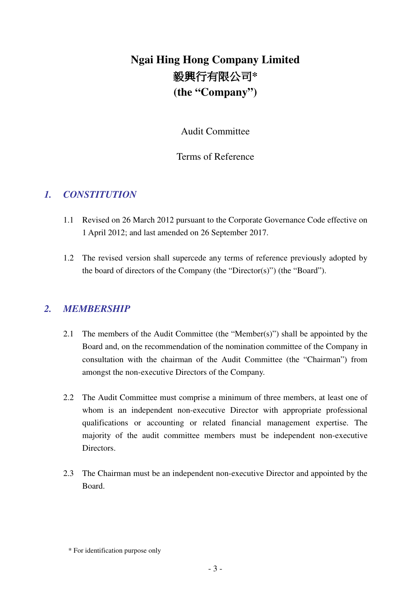# **Ngai Hing Hong Company Limited**  毅興行有限公司**\* (the "Company")**

Audit Committee

#### Terms of Reference

#### *1. CONSTITUTION*

- 1.1 Revised on 26 March 2012 pursuant to the Corporate Governance Code effective on 1 April 2012; and last amended on 26 September 2017.
- 1.2 The revised version shall supercede any terms of reference previously adopted by the board of directors of the Company (the "Director(s)") (the "Board").

#### *2. MEMBERSHIP*

- 2.1 The members of the Audit Committee (the "Member(s)") shall be appointed by the Board and, on the recommendation of the nomination committee of the Company in consultation with the chairman of the Audit Committee (the "Chairman") from amongst the non-executive Directors of the Company.
- 2.2 The Audit Committee must comprise a minimum of three members, at least one of whom is an independent non-executive Director with appropriate professional qualifications or accounting or related financial management expertise. The majority of the audit committee members must be independent non-executive Directors.
- 2.3 The Chairman must be an independent non-executive Director and appointed by the Board.

<sup>\*</sup> For identification purpose only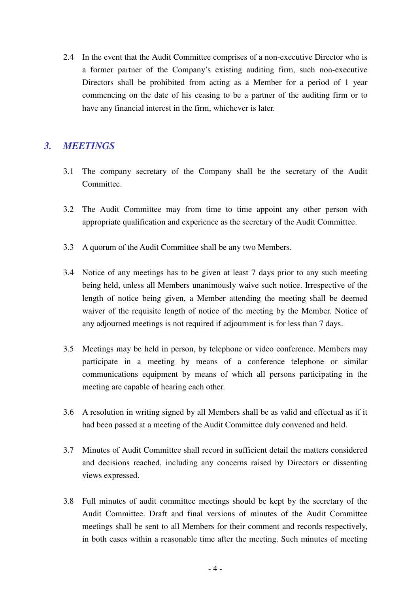2.4 In the event that the Audit Committee comprises of a non-executive Director who is a former partner of the Company's existing auditing firm, such non-executive Directors shall be prohibited from acting as a Member for a period of 1 year commencing on the date of his ceasing to be a partner of the auditing firm or to have any financial interest in the firm, whichever is later.

#### *3. MEETINGS*

- 3.1 The company secretary of the Company shall be the secretary of the Audit Committee.
- 3.2 The Audit Committee may from time to time appoint any other person with appropriate qualification and experience as the secretary of the Audit Committee.
- 3.3 A quorum of the Audit Committee shall be any two Members.
- 3.4 Notice of any meetings has to be given at least 7 days prior to any such meeting being held, unless all Members unanimously waive such notice. Irrespective of the length of notice being given, a Member attending the meeting shall be deemed waiver of the requisite length of notice of the meeting by the Member. Notice of any adjourned meetings is not required if adjournment is for less than 7 days.
- 3.5 Meetings may be held in person, by telephone or video conference. Members may participate in a meeting by means of a conference telephone or similar communications equipment by means of which all persons participating in the meeting are capable of hearing each other.
- 3.6 A resolution in writing signed by all Members shall be as valid and effectual as if it had been passed at a meeting of the Audit Committee duly convened and held.
- 3.7 Minutes of Audit Committee shall record in sufficient detail the matters considered and decisions reached, including any concerns raised by Directors or dissenting views expressed.
- 3.8 Full minutes of audit committee meetings should be kept by the secretary of the Audit Committee. Draft and final versions of minutes of the Audit Committee meetings shall be sent to all Members for their comment and records respectively, in both cases within a reasonable time after the meeting. Such minutes of meeting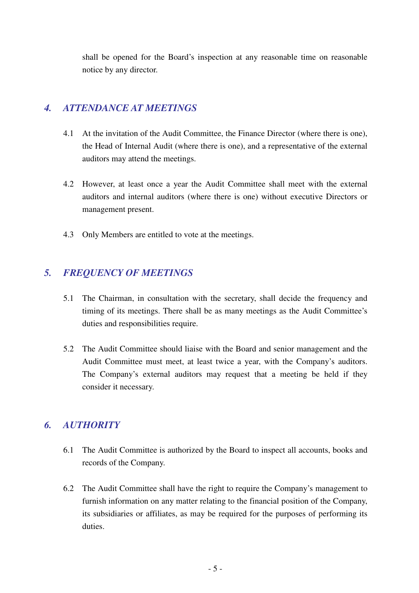shall be opened for the Board's inspection at any reasonable time on reasonable notice by any director.

#### *4. ATTENDANCE AT MEETINGS*

- 4.1 At the invitation of the Audit Committee, the Finance Director (where there is one), the Head of Internal Audit (where there is one), and a representative of the external auditors may attend the meetings.
- 4.2 However, at least once a year the Audit Committee shall meet with the external auditors and internal auditors (where there is one) without executive Directors or management present.
- 4.3 Only Members are entitled to vote at the meetings.

#### *5. FREQUENCY OF MEETINGS*

- 5.1 The Chairman, in consultation with the secretary, shall decide the frequency and timing of its meetings. There shall be as many meetings as the Audit Committee's duties and responsibilities require.
- 5.2 The Audit Committee should liaise with the Board and senior management and the Audit Committee must meet, at least twice a year, with the Company's auditors. The Company's external auditors may request that a meeting be held if they consider it necessary.

#### *6. AUTHORITY*

- 6.1 The Audit Committee is authorized by the Board to inspect all accounts, books and records of the Company.
- 6.2 The Audit Committee shall have the right to require the Company's management to furnish information on any matter relating to the financial position of the Company, its subsidiaries or affiliates, as may be required for the purposes of performing its duties.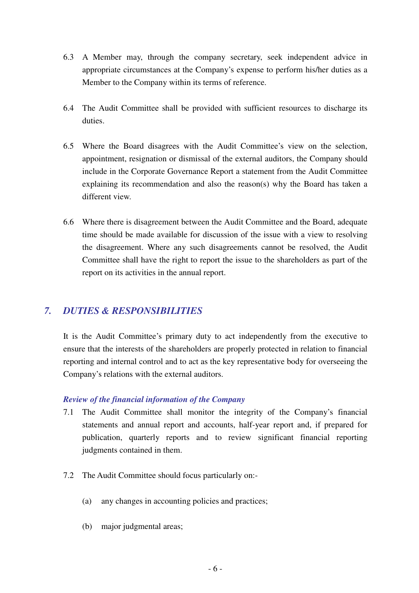- 6.3 A Member may, through the company secretary, seek independent advice in appropriate circumstances at the Company's expense to perform his/her duties as a Member to the Company within its terms of reference.
- 6.4 The Audit Committee shall be provided with sufficient resources to discharge its duties.
- 6.5 Where the Board disagrees with the Audit Committee's view on the selection, appointment, resignation or dismissal of the external auditors, the Company should include in the Corporate Governance Report a statement from the Audit Committee explaining its recommendation and also the reason(s) why the Board has taken a different view.
- 6.6 Where there is disagreement between the Audit Committee and the Board, adequate time should be made available for discussion of the issue with a view to resolving the disagreement. Where any such disagreements cannot be resolved, the Audit Committee shall have the right to report the issue to the shareholders as part of the report on its activities in the annual report.

#### *7. DUTIES & RESPONSIBILITIES*

It is the Audit Committee's primary duty to act independently from the executive to ensure that the interests of the shareholders are properly protected in relation to financial reporting and internal control and to act as the key representative body for overseeing the Company's relations with the external auditors.

#### *Review of the financial information of the Company*

- 7.1 The Audit Committee shall monitor the integrity of the Company's financial statements and annual report and accounts, half-year report and, if prepared for publication, quarterly reports and to review significant financial reporting judgments contained in them.
- 7.2 The Audit Committee should focus particularly on:-
	- (a) any changes in accounting policies and practices;
	- (b) major judgmental areas;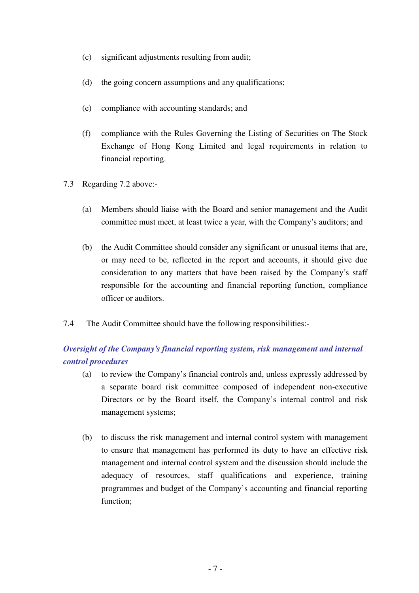- (c) significant adjustments resulting from audit;
- (d) the going concern assumptions and any qualifications;
- (e) compliance with accounting standards; and
- (f) compliance with the Rules Governing the Listing of Securities on The Stock Exchange of Hong Kong Limited and legal requirements in relation to financial reporting.
- 7.3 Regarding 7.2 above:-
	- (a) Members should liaise with the Board and senior management and the Audit committee must meet, at least twice a year, with the Company's auditors; and
	- (b) the Audit Committee should consider any significant or unusual items that are, or may need to be, reflected in the report and accounts, it should give due consideration to any matters that have been raised by the Company's staff responsible for the accounting and financial reporting function, compliance officer or auditors.
- 7.4 The Audit Committee should have the following responsibilities:-

#### *Oversight of the Company's financial reporting system, risk management and internal control procedures*

- (a) to review the Company's financial controls and, unless expressly addressed by a separate board risk committee composed of independent non-executive Directors or by the Board itself, the Company's internal control and risk management systems;
- (b) to discuss the risk management and internal control system with management to ensure that management has performed its duty to have an effective risk management and internal control system and the discussion should include the adequacy of resources, staff qualifications and experience, training programmes and budget of the Company's accounting and financial reporting function;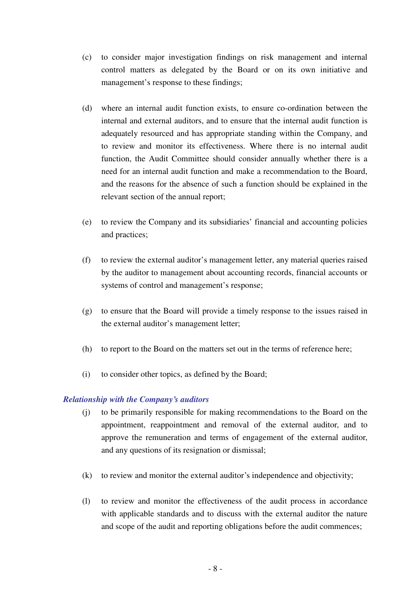- (c) to consider major investigation findings on risk management and internal control matters as delegated by the Board or on its own initiative and management's response to these findings;
- (d) where an internal audit function exists, to ensure co-ordination between the internal and external auditors, and to ensure that the internal audit function is adequately resourced and has appropriate standing within the Company, and to review and monitor its effectiveness. Where there is no internal audit function, the Audit Committee should consider annually whether there is a need for an internal audit function and make a recommendation to the Board, and the reasons for the absence of such a function should be explained in the relevant section of the annual report;
- (e) to review the Company and its subsidiaries' financial and accounting policies and practices;
- (f) to review the external auditor's management letter, any material queries raised by the auditor to management about accounting records, financial accounts or systems of control and management's response;
- (g) to ensure that the Board will provide a timely response to the issues raised in the external auditor's management letter;
- (h) to report to the Board on the matters set out in the terms of reference here;
- (i) to consider other topics, as defined by the Board;

#### *Relationship with the Company's auditors*

- (j) to be primarily responsible for making recommendations to the Board on the appointment, reappointment and removal of the external auditor, and to approve the remuneration and terms of engagement of the external auditor, and any questions of its resignation or dismissal;
- (k) to review and monitor the external auditor's independence and objectivity;
- (l) to review and monitor the effectiveness of the audit process in accordance with applicable standards and to discuss with the external auditor the nature and scope of the audit and reporting obligations before the audit commences;